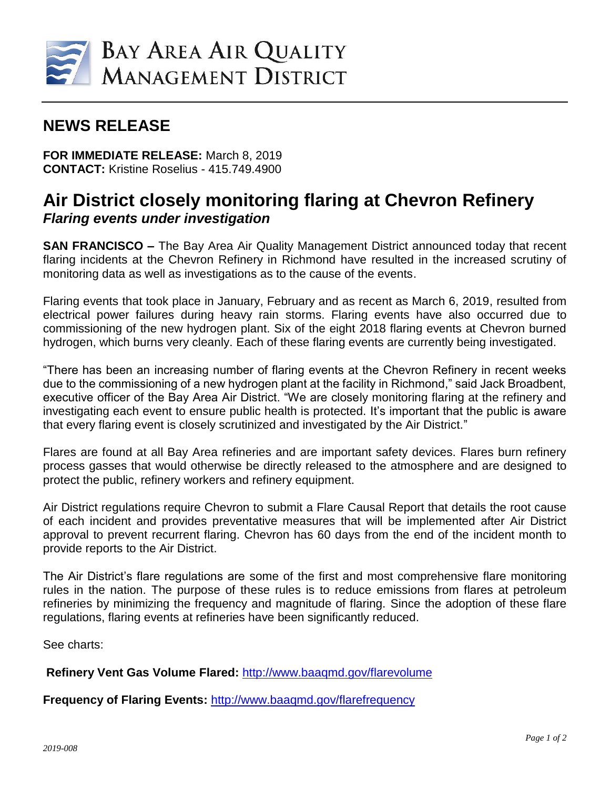

## **NEWS RELEASE**

**FOR IMMEDIATE RELEASE:** March 8, 2019 **CONTACT:** Kristine Roselius - 415.749.4900

## **Air District closely monitoring flaring at Chevron Refinery** *Flaring events under investigation*

**SAN FRANCISCO –** The Bay Area Air Quality Management District announced today that recent flaring incidents at the Chevron Refinery in Richmond have resulted in the increased scrutiny of monitoring data as well as investigations as to the cause of the events.

Flaring events that took place in January, February and as recent as March 6, 2019, resulted from electrical power failures during heavy rain storms. Flaring events have also occurred due to commissioning of the new hydrogen plant. Six of the eight 2018 flaring events at Chevron burned hydrogen, which burns very cleanly. Each of these flaring events are currently being investigated.

"There has been an increasing number of flaring events at the Chevron Refinery in recent weeks due to the commissioning of a new hydrogen plant at the facility in Richmond," said Jack Broadbent, executive officer of the Bay Area Air District. "We are closely monitoring flaring at the refinery and investigating each event to ensure public health is protected. It's important that the public is aware that every flaring event is closely scrutinized and investigated by the Air District."

Flares are found at all Bay Area refineries and are important safety devices. Flares burn refinery process gasses that would otherwise be directly released to the atmosphere and are designed to protect the public, refinery workers and refinery equipment.

Air District regulations require Chevron to submit a Flare Causal Report that details the root cause of each incident and provides preventative measures that will be implemented after Air District approval to prevent recurrent flaring. Chevron has 60 days from the end of the incident month to provide reports to the Air District.

The Air District's flare regulations are some of the first and most comprehensive flare monitoring rules in the nation. The purpose of these rules is to reduce emissions from flares at petroleum refineries by minimizing the frequency and magnitude of flaring. Since the adoption of these flare regulations, flaring events at refineries have been significantly reduced.

See charts:

**Refinery Vent Gas Volume Flared:** [http://www.baaqmd.gov/flarevolume](https://nam02.safelinks.protection.outlook.com/?url=http%3A%2F%2Fwww.baaqmd.gov%2Fflarevolume&data=02%7C01%7C%7C1db471ad9e564c4ac24508d6a41d5a76%7C855defaabdae4e6281e53bb7aa04fc3a%7C0%7C0%7C636876843304637445&sdata=Z8Ekjnalvrm1A8fKYe1MSZMJ6BubUQBuLrbq9xkq3BM%3D&reserved=0)

**Frequency of Flaring Events:** [http://www.baaqmd.gov/flarefrequency](https://nam02.safelinks.protection.outlook.com/?url=http%3A%2F%2Fwww.baaqmd.gov%2Fflarefrequency&data=02%7C01%7C%7C1db471ad9e564c4ac24508d6a41d5a76%7C855defaabdae4e6281e53bb7aa04fc3a%7C0%7C0%7C636876843304627436&sdata=V8pEeeBjDwI2pc5H3JJlg9zj%2FcTGilS%2Ff2eK3Cce6bw%3D&reserved=0)